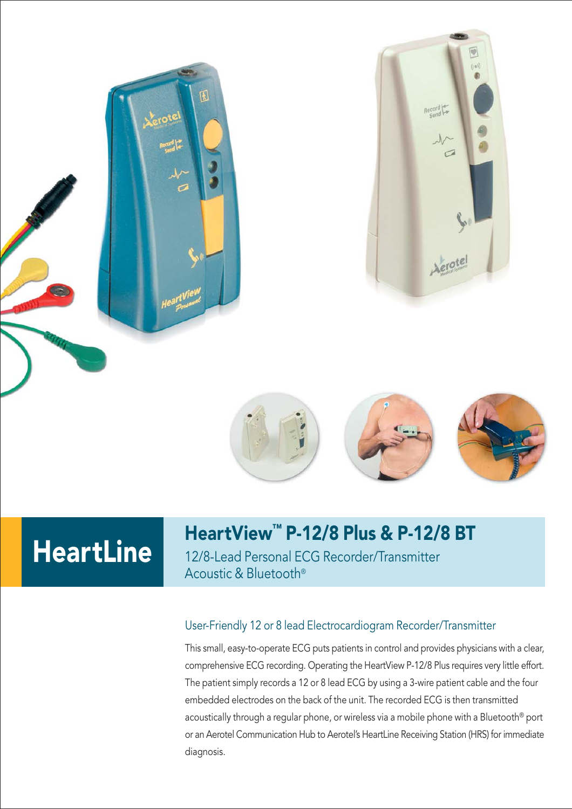



# **HeartLine**

团

### HeartView™ P-12/8 Plus & P-12/8 BT

12/8-Lead Personal ECG Recorder/Transmitter Acoustic & Bluetooth®

#### User-Friendly 12 or 8 lead Electrocardiogram Recorder/Transmitter

This small, easy-to-operate ECG puts patients in control and provides physicians with a clear, comprehensive ECG recording. Operating the HeartView P-12/8 Plus requires very little effort. The patient simply records a 12 or 8 lead ECG by using a 3-wire patient cable and the four embedded electrodes on the back of the unit. The recorded ECG is then transmitted acoustically through a regular phone, or wireless via a mobile phone with a Bluetooth® port or an Aerotel Communication Hub to Aerotel's HeartLine Receiving Station (HRS) for immediate diagnosis.